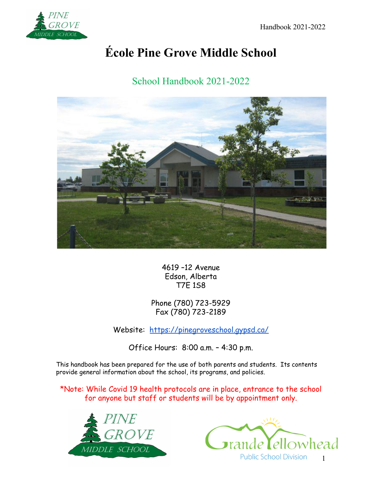

# **École Pine Grove Middle School**

School Handbook 2021-2022



4619 –12 Avenue Edson, Alberta T7E 1S8

Phone (780) 723-5929 Fax (780) 723-2189

Website: <https://pinegroveschool.gypsd.ca/>

Office Hours: 8:00 a.m. – 4:30 p.m.

This handbook has been prepared for the use of both parents and students. Its contents provide general information about the school, its programs, and policies.

\*Note: While Covid 19 health protocols are in place, entrance to the school for anyone but staff or students will be by appointment only.



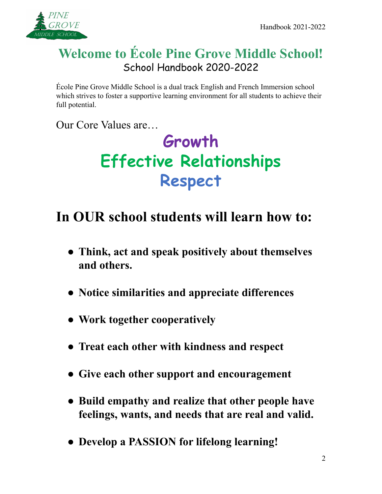

# **Welcome to École Pine Grove Middle School!** School Handbook 2020-2022

École Pine Grove Middle School is a dual track English and French Immersion school which strives to foster a supportive learning environment for all students to achieve their full potential.

Our Core Values are…

# **Growth Effective Relationships Respect**

# **In OUR school students will learn how to:**

- **● Think, act and speak positively about themselves and others.**
- **● Notice similarities and appreciate differences**
- **● Work together cooperatively**
- **● Treat each other with kindness and respect**
- **● Give each other support and encouragement**
- **● Build empathy and realize that other people have feelings, wants, and needs that are real and valid.**
- **● Develop a PASSION for lifelong learning!**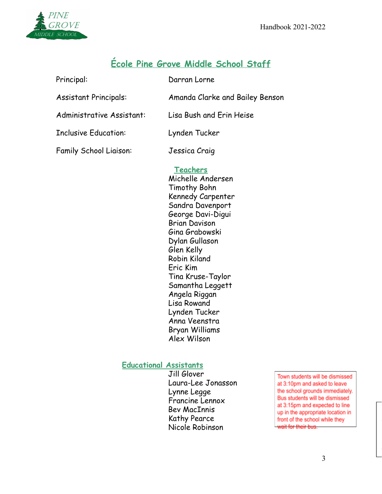

# **École Pine Grove Middle School Staff**

| Principal:                    | Darran Lorne                    |
|-------------------------------|---------------------------------|
| <b>Assistant Principals:</b>  | Amanda Clarke and Bailey Benson |
| Administrative Assistant:     | Lisa Bush and Erin Heise        |
| <b>Inclusive Education:</b>   | Lynden Tucker                   |
| <b>Family School Liaison:</b> | Jessica Craig                   |

# **Teachers**

Michelle Andersen Timothy Bohn Kennedy Carpenter Sandra Davenport George Davi-Digui Brian Davison Gina Grabowski Dylan Gullason Glen Kelly Robin Kiland Eric Kim Tina Kruse-Taylor Samantha Leggett Angela Riggan Lisa Rowand Lynden Tucker Anna Veenstra Bryan Williams Alex Wilson

# **Educational Assistants**

Jill Glover Laura-Lee Jonasson Lynne Legge Francine Lennox Bev MacInnis Kathy Pearce Nicole Robinson

Town students will be dismissed at 3:10pm and asked to leave the school grounds immediately. Bus students will be dismissed at 3:15pm and expected to line up in the appropriate location in front of the school while they wait for their bus.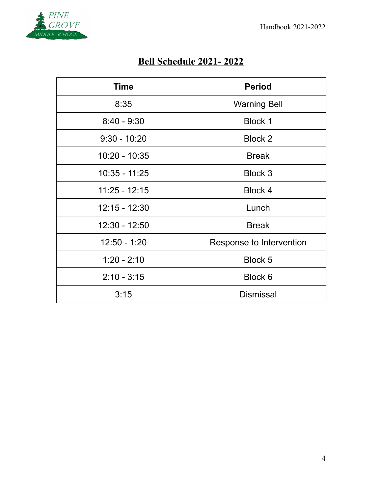

# **Bell Schedule 2021- 2022**

| <b>Time</b>     | <b>Period</b>            |
|-----------------|--------------------------|
| 8:35            | <b>Warning Bell</b>      |
| $8:40 - 9:30$   | <b>Block 1</b>           |
| $9:30 - 10:20$  | Block 2                  |
| $10:20 - 10:35$ | <b>Break</b>             |
| 10:35 - 11:25   | Block 3                  |
| $11:25 - 12:15$ | Block 4                  |
| $12:15 - 12:30$ | Lunch                    |
| 12:30 - 12:50   | <b>Break</b>             |
| $12:50 - 1:20$  | Response to Intervention |
| $1:20 - 2:10$   | <b>Block 5</b>           |
| $2:10 - 3:15$   | Block 6                  |
| 3:15            | <b>Dismissal</b>         |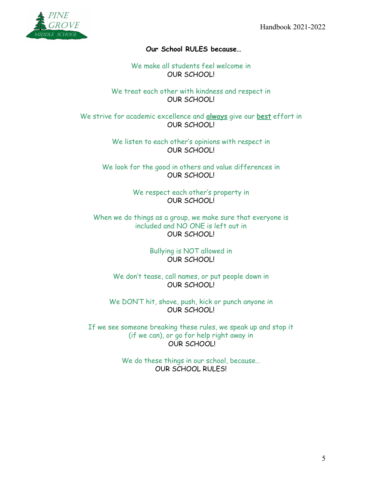

# **Our School RULES because…**

We make all students feel welcome in OUR SCHOOL!

We treat each other with kindness and respect in OUR SCHOOL!

We strive for academic excellence and **always** give our **best** effort in OUR SCHOOL!

> We listen to each other's opinions with respect in OUR SCHOOL!

We look for the good in others and value differences in OUR SCHOOL!

> We respect each other's property in OUR SCHOOL!

When we do things as a group, we make sure that everyone is included and NO ONE is left out in OUR SCHOOL!

> Bullying is NOT allowed in OUR SCHOOL!

We don't tease, call names, or put people down in OUR SCHOOL!

We DON'T hit, shove, push, kick or punch anyone in OUR SCHOOL!

If we see someone breaking these rules, we speak up and stop it (if we can), or go for help right away in OUR SCHOOL!

> We do these things in our school, because… OUR SCHOOL RULES!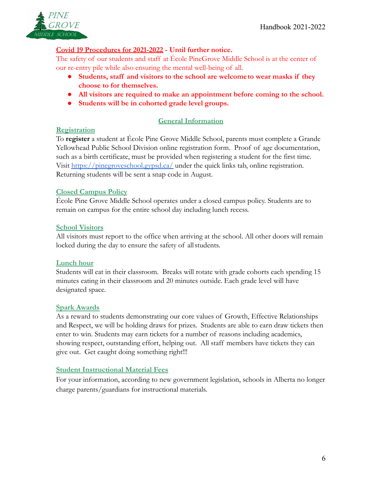

# **Covid 19 Procedures for 2021-2022 - Until further notice.**

The safety of our students and staff at École PineGrove Middle School is at the center of our re-entry pile while also ensuring the mental well-being of all.

- **Students, staff and visitors to the school are welcometo wear masks if they choose to for themselves.**
- **● All visitors are required to make an appointment before coming to the school.**
- **● Students will be in cohorted grade level groups.**

# **General Information**

#### **Registration**

To **register** a student at École Pine Grove Middle School, parents must complete a Grande Yellowhead Public School Division online registration form. Proof of age documentation, such as a birth certificate, must be provided when registering a student for the first time. Visit <https://pinegroveschool.gypsd.ca/> under the quick links tab, online registration. Returning students will be sent a snap code in August.

#### **Closed Campus Policy**

École Pine Grove Middle School operates under a closed campus policy. Students are to remain on campus for the entire school day including lunch recess.

#### **School Visitors**

All visitors must report to the office when arriving at the school. All other doors will remain locked during the day to ensure the safety of allstudents.

#### **Lunch hour**

Students will eat in their classroom. Breaks will rotate with grade cohorts each spending 15 minutes eating in their classroom and 20 minutes outside. Each grade level will have designated space.

#### **Spark Awards**

As a reward to students demonstrating our core values of Growth, Effective Relationships and Respect, we will be holding draws for prizes. Students are able to earn draw tickets then enter to win. Students may earn tickets for a number of reasons including academics, showing respect, outstanding effort, helping out. All staff members have tickets they can give out. Get caught doing something right!!!

# **Student Instructional Material Fees**

For your information, according to new government legislation, schools in Alberta no longer charge parents/guardians for instructional materials.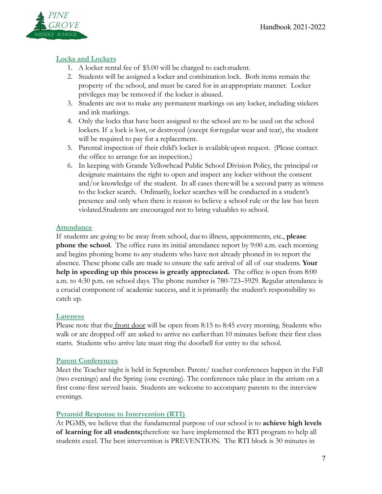

# **Locks and Lockers**

- 1. A locker rental fee of \$5.00 will be charged to eachstudent.
- 2. Students will be assigned a locker and combination lock. Both items remain the property of the school, and must be cared for in anappropriate manner. Locker privileges may be removed if the locker is abused.
- 3. Students are not to make any permanent markings on any locker, including stickers and ink markings.
- 4. Only the locks that have been assigned to the school are to be used on the school lockers. If a lock is lost, or destroyed (except forregular wear and tear), the student will be required to pay for a replacement.
- 5. Parental inspection of their child's locker is availableupon request. (Please contact the office to arrange for an inspection.)
- 6. In keeping with Grande Yellowhead Public School Division Policy, the principal or designate maintains the right to open and inspect any locker without the consent and/or knowledge of the student. In all cases therewill be a second party as witness to the locker search. Ordinarily, locker searches will be conducted in a student's presence and only when there is reason to believe a school rule or the law has been violated.Students are encouraged not to bring valuables to school.

#### **Attendance**

If students are going to be away from school, due to illness, appointments, etc., **please phone the school**. The office runs its initial attendance report by 9:00 a.m. each morning and begins phoning home to any students who have not already phoned in to report the absence. These phone calls are made to ensure the safe arrival of all of our students. **Your help in speeding up this process is greatly appreciated.** The office is open from 8:00 a.m. to 4:30 p.m. on school days. The phone number is 780-723–5929. Regular attendance is a crucial component of academic success, and it isprimarily the student's responsibility to catch up.

# **Lateness**

Please note that the front door will be open from 8:15 to 8:45 every morning. Students who walk or are dropped off are asked to arrive no earlierthan 10 minutes before their first class starts. Students who arrive late must ring the doorbell for entry to the school.

# **Parent Conferences**

Meet the Teacher night is held in September. Parent/ teacher conferences happen in the Fall (two evenings) and the Spring (one evening). The conferences take place in the atrium on a first come-first served basis. Students are welcome to accompany parents to the interview evenings.

# **Pyramid Response to Intervention (RTI)**

At PGMS, we believe that the fundamental purpose of our school is to **achieve high levels of learning for all students;**therefore we have implemented the RTI program to help all students excel. The best intervention is PREVENTION. The RTI block is 30 minutes in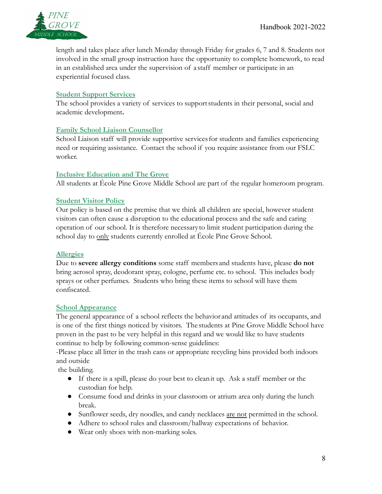

length and takes place after lunch Monday through Friday for grades 6, 7 and 8. Students not involved in the small group instruction have the opportunity to complete homework, to read in an established area under the supervision of a staff member or participate in an experiential focused class.

# **Student Support Services**

The school provides a variety of services to supportstudents in their personal, social and academic development**.**

#### **Family School Liaison Counsellor**

School Liaison staff will provide supportive servicesfor students and families experiencing need or requiring assistance. Contact the school if you require assistance from our FSLC worker.

#### **Inclusive Education and The Grove**

All students at École Pine Grove Middle School are part of the regular homeroom program.

# **Student Visitor Policy**

Our policy is based on the premise that we think all children are special, however student visitors can often cause a disruption to the educational process and the safe and caring operation of our school. It is therefore necessary to limit student participation during the school day to only students currently enrolled at École Pine Grove School.

#### **Allergies**

Due to **severe allergy conditions** some staff members and students have, please **do not** bring aerosol spray, deodorant spray, cologne, perfume etc. to school. This includes body sprays or other perfumes. Students who bring these items to school will have them confiscated.

#### **School Appearance**

The general appearance of a school reflects the behavior and attitudes of its occupants, and is one of the first things noticed by visitors. The students at Pine Grove Middle School have proven in the past to be very helpful in this regard and we would like to have students continue to help by following common-sense guidelines:

-Please place all litter in the trash cans or appropriate recycling bins provided both indoors and outside

the building.

- If there is a spill, please do your best to cleanit up. Ask a staff member or the custodian for help.
- Consume food and drinks in your classroom or atrium area only during the lunch break.
- Sunflower seeds, dry noodles, and candy necklaces are not permitted in the school.
- Adhere to school rules and classroom/hallway expectations of behavior.
- Wear only shoes with non-marking soles.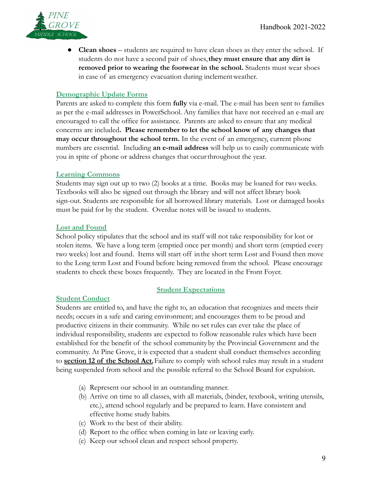

● **Clean shoes** – students are required to have clean shoes as they enter the school. If students do not have a second pair of shoes,**they must ensure that any dirt is removed prior to wearing the footwear in the school.** Students must wear shoes in case of an emergency evacuation during inclementweather.

#### **Demographic Update Forms**

Parents are asked to complete this form **fully** via e-mail. The e-mail has been sent to families as per the e-mail addresses in PowerSchool. Any families that have not received an e-mail are encouraged to call the office for assistance. Parents are asked to ensure that any medical concerns are included**. Please remember to let the school know of any changes that may occur throughout the school term.** In the event of an emergency, current phone numbers are essential. Including **an e-mail address** will help us to easily communicate with you in spite of phone or address changes that occurthroughout the year.

#### **Learning Commons**

Students may sign out up to two (2) books at a time. Books may be loaned for two weeks. Textbooks will also be signed out through the library and will not affect library book sign-out. Students are responsible for all borrowed library materials. Lost or damaged books must be paid for by the student. Overdue notes will be issued to students.

#### **Lost and Found**

School policy stipulates that the school and its staff will not take responsibility for lost or stolen items. We have a long term (emptied once per month) and short term (emptied every two weeks) lost and found. Items will start off inthe short term Lost and Found then move to the Long term Lost and Found before being removed from the school. Please encourage students to check these boxes frequently. They are located in the Front Foyer.

#### **Student Conduct**

#### **Student Expectations**

Students are entitled to, and have the right to, an education that recognizes and meets their needs; occurs in a safe and caring environment; and encourages them to be proud and productive citizens in their community. While no set rules can ever take the place of individual responsibility, students are expected to follow reasonable rules which have been established for the benefit of the school communityby the Provincial Government and the community. At Pine Grove, it is expected that a student shall conduct themselves according to **section 12 of the School Act.**Failure to comply with school rules may result in a student being suspended from school and the possible referral to the School Board for expulsion.

- (a) Represent our school in an outstanding manner.
- (b) Arrive on time to all classes, with all materials, (binder, textbook, writing utensils, etc.), attend school regularly and be prepared to learn. Have consistent and effective home study habits.
- (c) Work to the best of their ability.
- (d) Report to the office when coming in late or leaving early.
- (e) Keep our school clean and respect school property.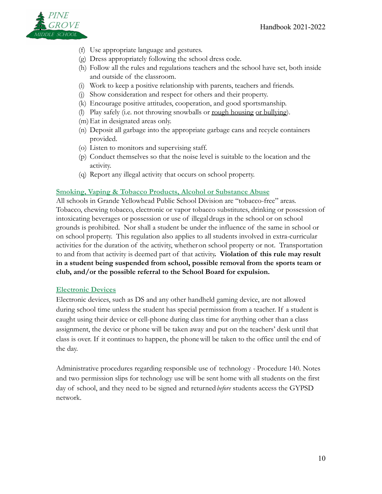

- (f) Use appropriate language and gestures.
- (g) Dress appropriately following the school dress code.
- (h) Follow all the rules and regulations teachers and the school have set, both inside and outside of the classroom.
- (i) Work to keep a positive relationship with parents, teachers and friends.
- (j) Show consideration and respect for others and their property.
- (k) Encourage positive attitudes, cooperation, and good sportsmanship.
- (l) Play safely (i.e. not throwing snowballs or rough housing or bullying).
- (m)Eat in designated areas only.
- (n) Deposit all garbage into the appropriate garbage cans and recycle containers provided.
- (o) Listen to monitors and supervising staff.
- (p) Conduct themselves so that the noise level is suitable to the location and the activity.
- (q) Report any illegal activity that occurs on school property.

# **Smoking, Vaping & Tobacco Products, Alcohol or Substance Abuse**

All schools in Grande Yellowhead Public School Division are "tobacco-free" areas. Tobacco, chewing tobacco, electronic or vapor tobacco substitutes, drinking or possession of intoxicating beverages or possession or use of illegaldrugs in the school or on school grounds is prohibited. Nor shall a student be under the influence of the same in school or on school property. This regulation also applies to all students involved in extra-curricular activities for the duration of the activity, whetheron school property or not. Transportation to and from that activity is deemed part of that activity**. Violation of this rule may result in a student being suspended from school, possible removal from the sports team or club, and/or the possible referral to the School Board for expulsion.**

# **Electronic Devices**

Electronic devices, such as DS and any other handheld gaming device, are not allowed during school time unless the student has special permission from a teacher. If a student is caught using their device or cell-phone during class time for anything other than a class assignment, the device or phone will be taken away and put on the teachers' desk until that class is over. If it continues to happen, the phonewill be taken to the office until the end of the day.

Administrative procedures regarding responsible use of technology - Procedure 140. Notes and two permission slips for technology use will be sent home with all students on the first day of school, and they need to be signed and returned*before* students access the GYPSD network.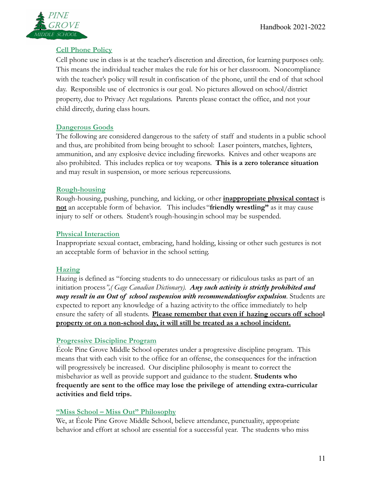

# **Cell Phone Policy**

Cell phone use in class is at the teacher's discretion and direction, for learning purposes only. This means the individual teacher makes the rule for his or her classroom. Noncompliance with the teacher's policy will result in confiscation of the phone, until the end of that school day. Responsible use of electronics is our goal. No pictures allowed on school/district property, due to Privacy Act regulations. Parents please contact the office, and not your child directly, during class hours.

# **Dangerous Goods**

The following are considered dangerous to the safety of staff and students in a public school and thus, are prohibited from being brought to school: Laser pointers, matches, lighters, ammunition, and any explosive device including fireworks. Knives and other weapons are also prohibited. This includes replica or toy weapons. **This is a zero tolerance situation** and may result in suspension, or more serious repercussions.

# **Rough-housing**

Rough-housing, pushing, punching, and kicking, or other **inappropriate physical contact** is **not** an acceptable form of behavior. This includes "**friendly wrestling"** as it may cause injury to self or others. Student's rough-housing in school may be suspended.

# **Physical Interaction**

Inappropriate sexual contact, embracing, hand holding, kissing or other such gestures is not an acceptable form of behavior in the school setting.

# **Hazing**

Hazing is defined as "forcing students to do unnecessary or ridiculous tasks as part of an initiation process*",( Gage Canadian Dictionary). Any such activity is strictly prohibited and may result in an Out of school suspension with recommendationfor expulsion.* Students are expected to report any knowledge of a hazing activity to the office immediately to help ensure the safety of all students. **Please remember that even if hazing occurs off school property or on a non-school day, it will still be treated as a school incident.**

# **Progressive Discipline Program**

École Pine Grove Middle School operates under a progressive discipline program. This means that with each visit to the office for an offense, the consequences for the infraction will progressively be increased. Our discipline philosophy is meant to correct the misbehavior as well as provide support and guidance to the student. **Students who frequently are sent to the office may lose the privilege of attending extra-curricular activities and field trips.**

# **"Miss School – Miss Out" Philosophy**

We, at École Pine Grove Middle School, believe attendance, punctuality, appropriate behavior and effort at school are essential for a successful year. The students who miss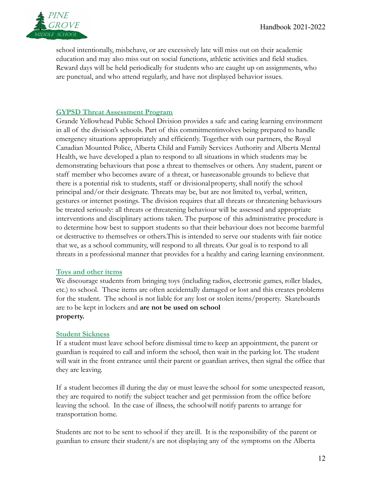

school intentionally, misbehave, or are excessively late will miss out on their academic education and may also miss out on social functions, athletic activities and field studies. Reward days will be held periodically for students who are caught up on assignments, who are punctual, and who attend regularly, and have not displayed behavior issues.

#### **GYPSD Threat Assessment Program**

Grande Yellowhead Public School Division provides a safe and caring learning environment in all of the division's schools. Part of this commitmentinvolves being prepared to handle emergency situations appropriately and efficiently. Together with our partners, the Royal Canadian Mounted Police, Alberta Child and Family Services Authority and Alberta Mental Health, we have developed a plan to respond to all situations in which students may be demonstrating behaviours that pose a threat to themselves or others. Any student, parent or staff member who becomes aware of a threat, or hasreasonable grounds to believe that there is a potential risk to students, staff or divisionalproperty, shall notify the school principal and/or their designate. Threats may be, but are not limited to, verbal, written, gestures or internet postings. The division requires that all threats or threatening behaviours be treated seriously: all threats or threatening behaviour will be assessed and appropriate interventions and disciplinary actions taken. The purpose of this administrative procedure is to determine how best to support students so that their behaviour does not become harmful or destructive to themselves or others.This is intended to serve our students with fair notice that we, as a school community, will respond to all threats. Our goal is to respond to all threats in a professional manner that provides for a healthy and caring learning environment.

#### **Toys and other items**

We discourage students from bringing toys (including radios, electronic games, roller blades, etc.) to school. These items are often accidentally damaged or lost and this creates problems for the student. The school is not liable for any lost or stolen items/property. Skateboards are to be kept in lockers and **are not be used on school property.**

#### **Student Sickness**

If a student must leave school before dismissal time to keep an appointment, the parent or guardian is required to call and inform the school, then wait in the parking lot. The student will wait in the front entrance until their parent or guardian arrives, then signal the office that they are leaving.

If a student becomes ill during the day or must leave the school for some unexpected reason, they are required to notify the subject teacher and get permission from the office before leaving the school. In the case of illness, the schoolwill notify parents to arrange for transportation home.

Students are not to be sent to school if they are ill. It is the responsibility of the parent or guardian to ensure their student/s are not displaying any of the symptoms on the Alberta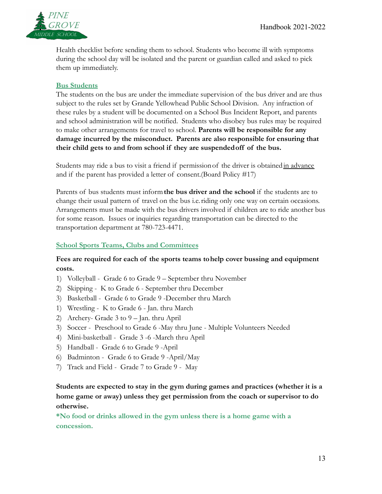

Health checklist before sending them to school. Students who become ill with symptoms during the school day will be isolated and the parent or guardian called and asked to pick them up immediately.

### **Bus Students**

The students on the bus are under the immediate supervision of the bus driver and are thus subject to the rules set by Grande Yellowhead Public School Division. Any infraction of these rules by a student will be documented on a School Bus Incident Report, and parents and school administration will be notified. Students who disobey bus rules may be required to make other arrangements for travel to school. **Parents will be responsible for any damage incurred by the misconduct. Parents are also responsible for ensuring that their child gets to and from school if they are suspendedoff of the bus.**

Students may ride a bus to visit a friend if permissionof the driver is obtainedin advance and if the parent has provided a letter of consent.(Board Policy #17)

Parents of bus students must inform**the bus driver and the school** if the students are to change their usual pattern of travel on the bus i.e.riding only one way on certain occasions. Arrangements must be made with the bus drivers involved if children are to ride another bus for some reason. Issues or inquiries regarding transportation can be directed to the transportation department at 780-723-4471.

# **School Sports Teams, Clubs and Committees**

# **Fees are required for each of the sports teams tohelp cover bussing and equipment costs.**

- 1) Volleyball Grade 6 to Grade 9 September thru November
- 2) Skipping K to Grade 6 September thru December
- 3) Basketball Grade 6 to Grade 9 -December thru March
- 1) Wrestling K to Grade 6 Jan. thru March
- 2) Archery- Grade 3 to 9 Jan. thru April
- 3) Soccer Preschool to Grade 6 -May thru June Multiple Volunteers Needed
- 4) Mini-basketball Grade 3 -6 -March thru April
- 5) Handball Grade 6 to Grade 9 -April
- 6) Badminton Grade 6 to Grade 9 -April/May
- 7) Track and Field Grade 7 to Grade 9 May

**Students are expected to stay in the gym during games and practices (whether it is a home game or away) unless they get permission from the coach or supervisor to do otherwise.**

**\*No food or drinks allowed in the gym unless there is a home game with a concession.**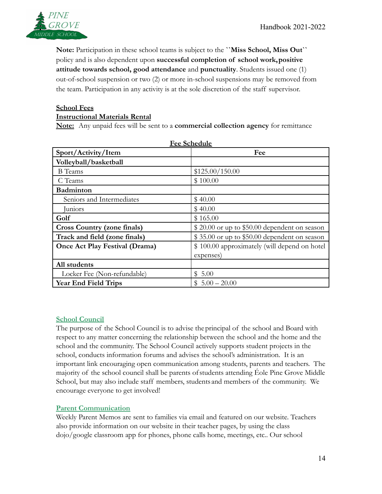

**Note:** Participation in these school teams is subject to the **``Miss School, Miss Out``** policy and is also dependent upon **successful completion of school work,positive attitude towards school, good attendance** and **punctuality**. Students issued one (1) out-of-school suspension or two (2) or more in-school suspensions may be removed from the team. Participation in any activity is at the sole discretion of the staff supervisor.

#### **School Fees Instructional Materials Rental**

**Note:** Any unpaid fees will be sent to a **commercial collection agency** for remittance

| <u>Tec seneggie</u>                   |                                              |
|---------------------------------------|----------------------------------------------|
| Sport/Activity/Item                   | Fee                                          |
| Volleyball/basketball                 |                                              |
| <b>B</b> Teams                        | \$125.00/150.00                              |
| C Teams                               | \$100.00                                     |
| <b>Badminton</b>                      |                                              |
| Seniors and Intermediates             | \$40.00                                      |
| Juniors                               | \$40.00                                      |
| Golf                                  | \$165.00                                     |
| <b>Cross Country (zone finals)</b>    | \$20.00 or up to \$50.00 dependent on season |
| Track and field (zone finals)         | \$35.00 or up to \$50.00 dependent on season |
| <b>Once Act Play Festival (Drama)</b> | \$100.00 approximately (will depend on hotel |
|                                       | expenses)                                    |
| All students                          |                                              |
| Locker Fee (Non-refundable)           | \$5.00                                       |
| <b>Year End Field Trips</b>           | $$5.00 - 20.00$                              |

**Fee Schedule**

# **School Council**

The purpose of the School Council is to advise theprincipal of the school and Board with respect to any matter concerning the relationship between the school and the home and the school and the community. The School Council actively supports student projects in the school, conducts information forums and advises the school's administration. It is an important link encouraging open communication among students, parents and teachers. The majority of the school council shall be parents ofstudents attending Éole Pine Grove Middle School, but may also include staff members, students and members of the community. We encourage everyone to get involved!

# **Parent Communication**

Weekly Parent Memos are sent to families via email and featured on our website. Teachers also provide information on our website in their teacher pages, by using the class dojo/google classroom app for phones, phone calls home, meetings, etc.. Our school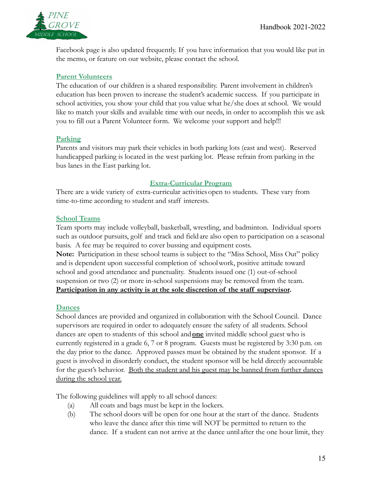

Facebook page is also updated frequently. If you have information that you would like put in the memo, or feature on our website, please contact the school.

### **Parent Volunteers**

The education of our children is a shared responsibility. Parent involvement in children's education has been proven to increase the student's academic success. If you participate in school activities, you show your child that you value what he/she does at school. We would like to match your skills and available time with our needs, in order to accomplish this we ask you to fill out a Parent Volunteer form. We welcome your support and help!!!

#### **Parking**

Parents and visitors may park their vehicles in both parking lots (east and west). Reserved handicapped parking is located in the west parking lot. Please refrain from parking in the bus lanes in the East parking lot.

#### **Extra-Curricular Program**

There are a wide variety of extra-curricular activities open to students. These vary from time-to-time according to student and staff interests.

#### **School Teams**

Team sports may include volleyball, basketball, wrestling, and badminton. Individual sports such as outdoor pursuits, golf and track and fieldare also open to participation on a seasonal basis. A fee may be required to cover bussing and equipment costs.

**Note:** Participation in these school teams is subject to the "Miss School, Miss Out" policy and is dependent upon successful completion of schoolwork, positive attitude toward school and good attendance and punctuality. Students issued one (1) out-of-school suspension or two (2) or more in-school suspensions may be removed from the team. **Participation in any activity is at the sole discretion of the staff supervisor.**

#### **Dances**

School dances are provided and organized in collaboration with the School Council. Dance supervisors are required in order to adequately ensure the safety of all students. School dances are open to students of this school and**one** invited middle school guest who is currently registered in a grade 6, 7 or 8 program. Guests must be registered by 3:30 p.m. on the day prior to the dance. Approved passes must be obtained by the student sponsor. If a guest is involved in disorderly conduct, the student sponsor will be held directly accountable for the guest's behavior. Both the student and his guest may be banned from further dances during the school year.

The following guidelines will apply to all school dances:

- (a) All coats and bags must be kept in the lockers.
- (b) The school doors will be open for one hour at the start of the dance. Students who leave the dance after this time will NOT be permitted to return to the dance. If a student can not arrive at the dance until after the one hour limit, they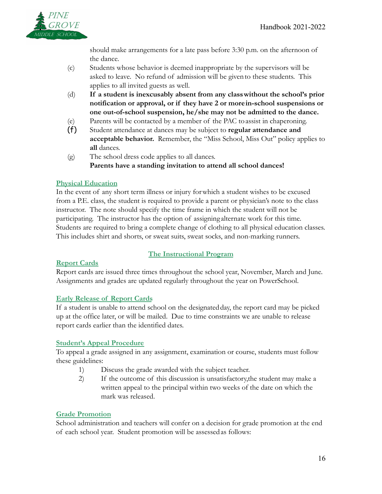

should make arrangements for a late pass before 3:30 p.m. on the afternoon of the dance.

- (c) Students whose behavior is deemed inappropriate by the supervisors will be asked to leave. No refund of admission will be givento these students. This applies to all invited guests as well.
- (d) **If a student is inexcusably absent from any classwithout the school's prior notification or approval, or if they have 2 or morein-school suspensions or one out-of-school suspension, he/she may not be admitted to the dance.**
- (e) Parents will be contacted by a member of the PAC toassist in chaperoning.
- (f) Student attendance at dances may be subject to **regular attendance and acceptable behavior.** Remember, the "Miss School, Miss Out" policy applies to **all** dances.
- (g) The school dress code applies to all dances. **Parents have a standing invitation to attend all school dances!**

# **Physical Education**

In the event of any short term illness or injury forwhich a student wishes to be excused from a P.E. class, the student is required to provide a parent or physician's note to the class instructor. The note should specify the time frame in which the student will not be participating. The instructor has the option of assigning alternate work for this time. Students are required to bring a complete change of clothing to all physical education classes. This includes shirt and shorts, or sweat suits, sweat socks, and non-marking runners.

# **The Instructional Program**

# **Report Cards**

Report cards are issued three times throughout the school year, November, March and June. Assignments and grades are updated regularly throughout the year on PowerSchool.

# **Early Release of Report Cards**

If a student is unable to attend school on the designated day, the report card may be picked up at the office later, or will be mailed. Due to time constraints we are unable to release report cards earlier than the identified dates.

# **Student's Appeal Procedure**

To appeal a grade assigned in any assignment, examination or course, students must follow these guidelines:

- 1) Discuss the grade awarded with the subject teacher.
- 2) If the outcome of this discussion is unsatisfactory,the student may make a written appeal to the principal within two weeks of the date on which the mark was released.

# **Grade Promotion**

School administration and teachers will confer on a decision for grade promotion at the end of each school year. Student promotion will be assessed as follows: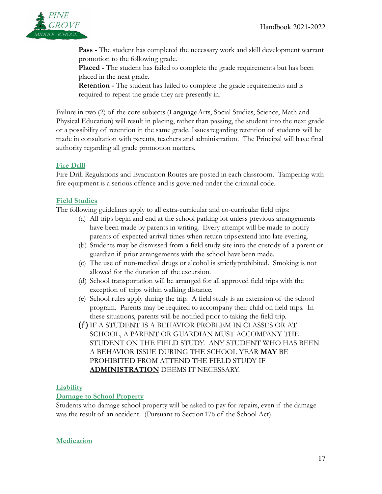

**Pass -** The student has completed the necessary work and skill development warrant promotion to the following grade.

**Placed -** The student has failed to complete the grade requirements but has been placed in the next grade**.**

**Retention -** The student has failed to complete the grade requirements and is required to repeat the grade they are presently in.

Failure in two (2) of the core subjects (Language Arts, Social Studies, Science, Math and Physical Education) will result in placing, rather than passing, the student into the next grade or a possibility of retention in the same grade. Issuesregarding retention of students will be made in consultation with parents, teachers and administration. The Principal will have final authority regarding all grade promotion matters.

#### **Fire Drill**

Fire Drill Regulations and Evacuation Routes are posted in each classroom. Tampering with fire equipment is a serious offence and is governed under the criminal code.

#### **Field Studies**

The following guidelines apply to all extra-curricular and co-curricular field trips:

- (a) All trips begin and end at the school parking lot unless previous arrangements have been made by parents in writing. Every attempt will be made to notify parents of expected arrival times when return trips extend into late evening.
- (b) Students may be dismissed from a field study site into the custody of a parent or guardian if prior arrangements with the school havebeen made.
- (c) The use of non-medical drugs or alcohol is strictly prohibited. Smoking is not allowed for the duration of the excursion.
- (d) School transportation will be arranged for all approved field trips with the exception of trips within walking distance.
- (e) School rules apply during the trip. A field study is an extension of the school program. Parents may be required to accompany their child on field trips. In these situations, parents will be notified prior to taking the field trip.
- (f) IF A STUDENT IS A BEHAVIOR PROBLEM IN CLASSES OR AT SCHOOL, A PARENT OR GUARDIAN MUST ACCOMPANY THE STUDENT ON THE FIELD STUDY. ANY STUDENT WHO HAS BEEN A BEHAVIOR ISSUE DURING THE SCHOOL YEAR **MAY** BE PROHIBITED FROM ATTEND THE FIELD STUDY IF **ADMINISTRATION** DEEMS IT NECESSARY.

#### **Liability**

#### **Damage to School Property**

Students who damage school property will be asked to pay for repairs, even if the damage was the result of an accident. (Pursuant to Section 176 of the School Act).

# **Medication**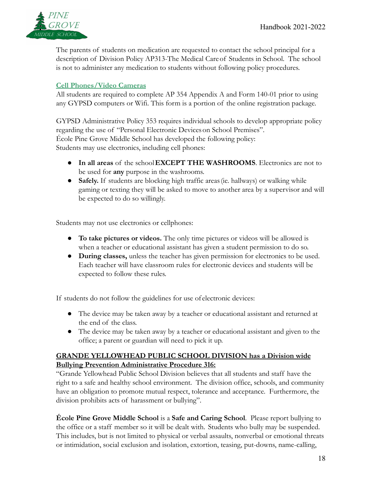

The parents of students on medication are requested to contact the school principal for a description of Division Policy AP313-The Medical Careof Students in School. The school is not to administer any medication to students without following policy procedures.

# **Cell Phones/Video Cameras**

All students are required to complete AP 354 Appendix A and Form 140-01 prior to using any GYPSD computers or Wifi. This form is a portion of the online registration package.

GYPSD Administrative Policy 353 requires individual schools to develop appropriate policy regarding the use of "Personal Electronic Devices on School Premises". École Pine Grove Middle School has developed the following policy: Students may use electronics, including cell phones:

- **In all areas** of the school**EXCEPT THE WASHROOMS**. Electronics are not to be used for **any** purpose in the washrooms.
- **Safely.** If students are blocking high traffic areas (ie. hallways) or walking while gaming or texting they will be asked to move to another area by a supervisor and will be expected to do so willingly.

Students may not use electronics or cellphones:

- **To take pictures or videos.** The only time pictures or videos will be allowed is when a teacher or educational assistant has given a student permission to do so.
- **During classes,** unless the teacher has given permission for electronics to be used. Each teacher will have classroom rules for electronic devices and students will be expected to follow these rules.

If students do not follow the guidelines for use of electronic devices:

- The device may be taken away by a teacher or educational assistant and returned at the end of the class.
- The device may be taken away by a teacher or educational assistant and given to the office; a parent or guardian will need to pick it up.

# **GRANDE YELLOWHEAD PUBLIC SCHOOL DIVISION has a Division wide Bullying Prevention Administrative Procedure 316:**

"Grande Yellowhead Public School Division believes that all students and staff have the right to a safe and healthy school environment. The division office, schools, and community have an obligation to promote mutual respect, tolerance and acceptance. Furthermore, the division prohibits acts of harassment or bullying".

**École Pine Grove Middle School** is a **Safe and Caring School**. Please report bullying to the office or a staff member so it will be dealt with. Students who bully may be suspended. This includes, but is not limited to physical or verbal assaults, nonverbal or emotional threats or intimidation, social exclusion and isolation, extortion, teasing, put-downs, name-calling,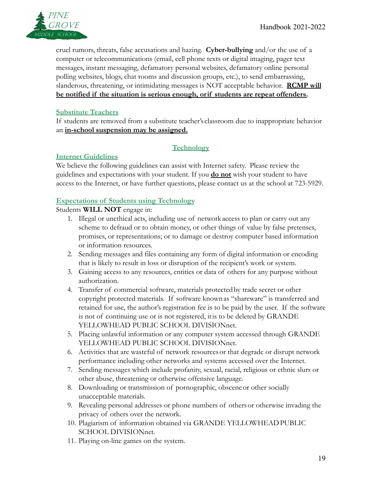

cruel rumors, threats, false accusations and hazing. **Cyber-bullying** and/or the use of a computer or telecommunications (email, cell phone texts or digital imaging, pager text messages, instant messaging, defamatory personal websites, defamatory online personal polling websites, blogs, chat rooms and discussion groups, etc.), to send embarrassing, slanderous, threatening, or intimidating messages is NOT acceptable behavior. **RCMP will be notified if the situation is serious enough, orif students are repeat offenders.**

# **Substitute Teachers**

If students are removed from a substitute teacher's classroom due to inappropriate behavior an **in-school suspension may be assigned.**

# **Technology**

# **Internet Guidelines**

We believe the following guidelines can assist with Internet safety. Please review the guidelines and expectations with your student. If you **do not** wish your student to have access to the Internet, or have further questions, please contact us at the school at 723-5929.

# **Expectations of Students using Technology**

### Students **WILL NOT** engage in:

- 1. Illegal or unethical acts, including use of network access to plan or carry out any scheme to defraud or to obtain money, or other things of value by false pretenses, promises, or representations; or to damage or destroy computer based information or information resources.
- 2. Sending messages and files containing any form of digital information or encoding that is likely to result in loss or disruption of the recipient's work or system.
- 3. Gaining access to any resources, entities or data of others for any purpose without authorization.
- 4. Transfer of commercial software, materials protectedby trade secret or other copyright protected materials. If software knownas "shareware" is transferred and retained for use, the author's registration fee is to be paid by the user. If the software is not of continuing use or is not registered, itis to be deleted by GRANDE YELLOWHEAD PUBLIC SCHOOL DIVISIONnet.
- 5. Placing unlawful information or any computer system accessed through GRANDE YELLOWHEAD PUBLIC SCHOOL DIVISIONnet.
- 6. Activities that are wasteful of network resourcesor that degrade or disrupt network performance including other networks and systems accessed over the Internet.
- 7. Sending messages which include profanity, sexual, racial, religious or ethnic slurs or other abuse, threatening or otherwise offensive language.
- 8. Downloading or transmission of pornographic, obsceneor other socially unacceptable materials.
- 9. Revealing personal addresses or phone numbers of othersor otherwise invading the privacy of others over the network.
- 10. Plagiarism of information obtained via GRANDE YELLOWHEADPUBLIC SCHOOL DIVISIONnet.
- 11. Playing on-line games on the system.